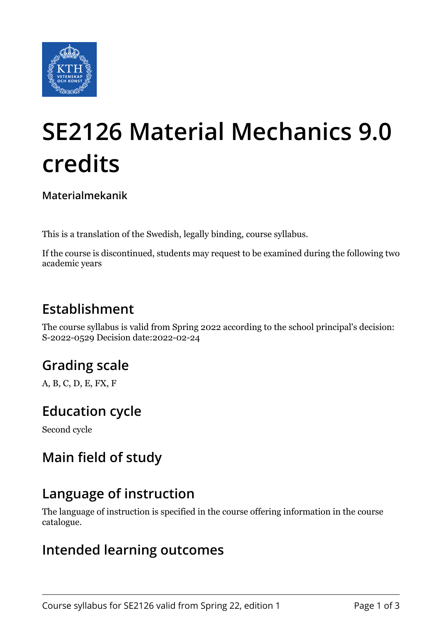

# **SE2126 Material Mechanics 9.0 credits**

**Materialmekanik**

This is a translation of the Swedish, legally binding, course syllabus.

If the course is discontinued, students may request to be examined during the following two academic years

## **Establishment**

The course syllabus is valid from Spring 2022 according to the school principal's decision: S-2022-0529 Decision date:2022-02-24

# **Grading scale**

A, B, C, D, E, FX, F

## **Education cycle**

Second cycle

# **Main field of study**

## **Language of instruction**

The language of instruction is specified in the course offering information in the course catalogue.

#### **Intended learning outcomes**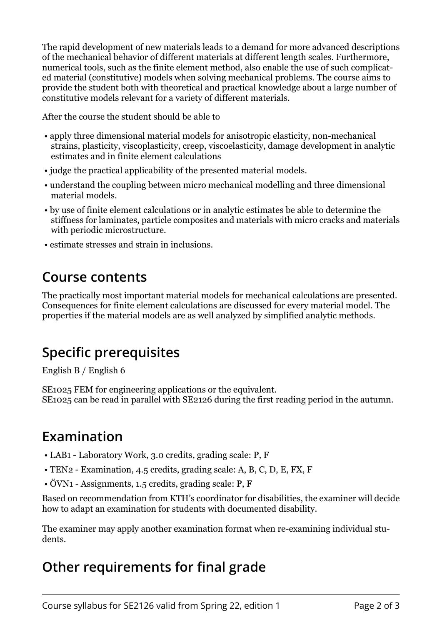The rapid development of new materials leads to a demand for more advanced descriptions of the mechanical behavior of different materials at different length scales. Furthermore, numerical tools, such as the finite element method, also enable the use of such complicated material (constitutive) models when solving mechanical problems. The course aims to provide the student both with theoretical and practical knowledge about a large number of constitutive models relevant for a variety of different materials.

After the course the student should be able to

- apply three dimensional material models for anisotropic elasticity, non-mechanical strains, plasticity, viscoplasticity, creep, viscoelasticity, damage development in analytic estimates and in finite element calculations
- judge the practical applicability of the presented material models.
- understand the coupling between micro mechanical modelling and three dimensional material models.
- by use of finite element calculations or in analytic estimates be able to determine the stiffness for laminates, particle composites and materials with micro cracks and materials with periodic microstructure.
- estimate stresses and strain in inclusions.

#### **Course contents**

The practically most important material models for mechanical calculations are presented. Consequences for finite element calculations are discussed for every material model. The properties if the material models are as well analyzed by simplified analytic methods.

## **Specific prerequisites**

English B / English 6

SE1025 FEM for engineering applications or the equivalent. SE1025 can be read in parallel with SE2126 during the first reading period in the autumn.

## **Examination**

- LAB1 Laboratory Work, 3.0 credits, grading scale: P, F
- TEN2 Examination, 4.5 credits, grading scale: A, B, C, D, E, FX, F
- ÖVN1 Assignments, 1.5 credits, grading scale: P, F

Based on recommendation from KTH's coordinator for disabilities, the examiner will decide how to adapt an examination for students with documented disability.

The examiner may apply another examination format when re-examining individual students.

## **Other requirements for final grade**